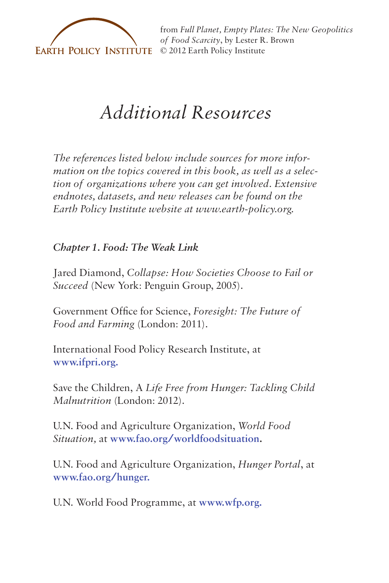

from *[Full Planet, Empty Plates: The New Geopolitics](http://www.earth-policy.org) of Food Scarcity*, by Lester R. Brown

# *Additional Resources*

*The references listed below include sources for more information on the topics covered in this book, as well as a selection of organizations where you can get involved. Extensive endnotes, datasets, and new releases can be found on the Earth Policy Institute website at www.earth-policy.org.*

*Chapter 1. Food: The Weak Link*

Jared Diamond, *Collapse: How Societies Choose to Fail or Succeed* (New York: Penguin Group, 2005).

Government Office for Science, *Foresight: The Future of Food and Farming* (London: 2011).

International Food Policy Research Institute, at **www.ifpri.org.** 

Save the Children, A *Life Free from Hunger: Tackling Child Malnutrition* (London: 2012).

U.N. Food and Agriculture Organization, *World Food Situation,* at **www.fao.org/worldfoodsituation.**

U.N. Food and Agriculture Organization, *Hunger Portal*, at **www.fao.org/hunger.**

U.N. World Food Programme, at **www.wfp.org.**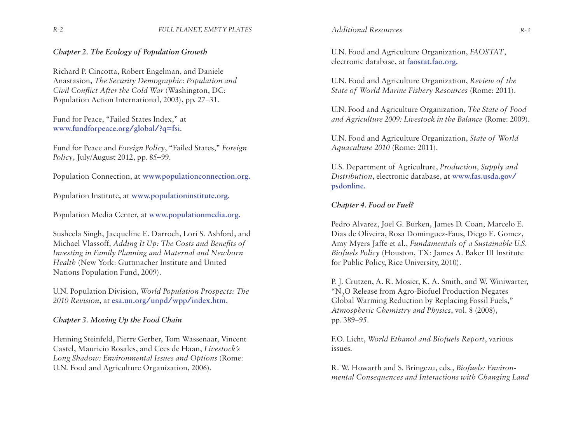*Chapter 2. The Ecology of Population Growth*

Richard P. Cincotta, Robert Engelman, and Daniele Anastasion, *The Security Demographic: Population and Civil Conflict After the Cold War* (Washington, DC: Population Action International, 2003), pp. 27–31.

Fund for Peace, "Failed States Index," at **www.fundforpeace.org/global/?q=fsi**.

Fund for Peace and *Foreign Policy*, "Failed States," *Foreign Policy*, July/August 2012, pp. 85–99.

Population Connection, at **www.populationconnection.org.**

Population Institute, at **www.populationinstitute.org.**

Population Media Center, at **www.populationmedia.org.**

Susheela Singh, Jacqueline E. Darroch, Lori S. Ashford, and Michael Vlassoff, *Adding It Up: The Costs and Benefits of Investing in Family Planning and Maternal and Newborn Health* (New York: Guttmacher Institute and United Nations Population Fund, 2009).

U.N. Population Division, *World Population Prospects: The 2010 Revision*, at **[esa.un.org/unpd/wpp/index.htm.](esa.un.org/unpd/wpp/index.htm)**

*Chapter 3. Moving Up the Food Chain*

Henning Steinfeld, Pierre Gerber, Tom Wassenaar, Vincent Castel, Mauricio Rosales, and Cees de Haan, *Livestock's Long Shadow: Environmental Issues and Options* (Rome: U.N. Food and Agriculture Organization, 2006).

U.N. Food and Agriculture Organization, *FAOSTAT*, electronic database, at **[faostat.fao.org.](faostat.fao.org)**

U.N. Food and Agriculture Organization, *Review of the State of World Marine Fishery Resources* (Rome: 2011).

U.N. Food and Agriculture Organization, *The State of Food and Agriculture 2009: Livestock in the Balance* (Rome: 2009).

U.N. Food and Agriculture Organization, *State of World Aquaculture 2010* (Rome: 2011).

U.S. Department of Agriculture, *Production, Supply and Distribution*, electronic database, at **www.fas.usda.gov/ psdonline.** 

## *Chapter 4. Food or Fuel?*

Pedro Alvarez, Joel G. Burken, James D. Coan, Marcelo E. Dias de Oliveira, Rosa Dominguez-Faus, Diego E. Gomez, Amy Myers Jaffe et al., *Fundamentals of a Sustainable U.S. Biofuels Policy* (Houston, TX: James A. Baker III Institute for Public Policy, Rice University, 2010).

P. J. Crutzen, A. R. Mosier, K. A. Smith, and W. Winiwarter, "N2O Release from Agro-Biofuel Production Negates Global Warming Reduction by Replacing Fossil Fuels," *Atmospheric Chemistry and Physics*, vol. 8 (2008), pp. 389–95.

F.O. Licht, *World Ethanol and Biofuels Report*, various issues.

R. W. Howarth and S. Bringezu, eds., *Biofuels: Environmental Consequences and Interactions with Changing Land*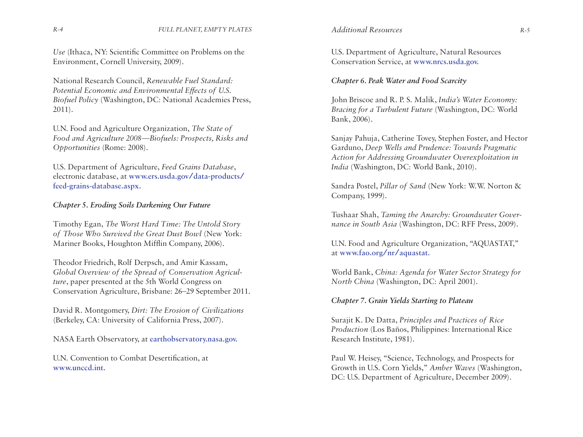*Use* (Ithaca, NY: Scientific Committee on Problems on the Environment, Cornell University, 2009).

National Research Council, *Renewable Fuel Standard: Potential Economic and Environmental Effects of U.S. Biofuel Policy* (Washington, DC: National Academies Press, 2011).

U.N. Food and Agriculture Organization, *The State of Food and Agriculture 2008—Biofuels: Prospects, Risks and Opportunities* (Rome: 2008).

U.S. Department of Agriculture, *Feed Grains Database*, electronic database, at **www.ers.usda.gov/data-products/ feed-grains-database.aspx.**

# *Chapter 5. Eroding Soils Darkening Our Future*

Timothy Egan, *The Worst Hard Time: The Untold Story of Those Who Survived the Great Dust Bowl* (New York: Mariner Books, Houghton Mifflin Company, 2006).

Theodor Friedrich, Rolf Derpsch, and Amir Kassam, *Global Overview of the Spread of Conservation Agriculture*, paper presented at the 5th World Congress on Conservation Agriculture, Brisbane: 26–29 September 2011.

David R. Montgomery, *Dirt: The Erosion of Civilizations* (Berkeley, CA: University of California Press, 2007).

NASA Earth Observatory, at **[earthobservatory.nasa.gov.](earthobservatory.nasa.gov)** 

U.N. Convention to Combat Desertification, at **www.unccd.int.**

U.S. Department of Agriculture, Natural Resources Conservation Service, at **www.nrcs.usda.gov.**

## *Chapter 6. Peak Water and Food Scarcity*

John Briscoe and R. P. S. Malik, *India's Water Economy: Bracing for a Turbulent Future* (Washington, DC: World Bank, 2006).

Sanjay Pahuja, Catherine Tovey, Stephen Foster, and Hector Garduno, *Deep Wells and Prudence: Towards Pragmatic Action for Addressing Groundwater Overexploitation in India* (Washington, DC: World Bank, 2010).

Sandra Postel, *Pillar of Sand* (New York: W.W. Norton & Company, 1999).

Tushaar Shah, *Taming the Anarchy: Groundwater Governance in South Asia* (Washington, DC: RFF Press, 2009).

U.N. Food and Agriculture Organization, "AQUASTAT," at **www.fao.org/nr/aquastat.**

World Bank, *China: Agenda for Water Sector Strategy for North China* (Washington, DC: April 2001).

### *Chapter 7. Grain Yields Starting to Plateau*

Surajit K. De Datta, *Principles and Practices of Rice Production* (Los Baños, Philippines: International Rice Research Institute, 1981).

Paul W. Heisey, "Science, Technology, and Prospects for Growth in U.S. Corn Yields," *Amber Waves* (Washington, DC: U.S. Department of Agriculture, December 2009).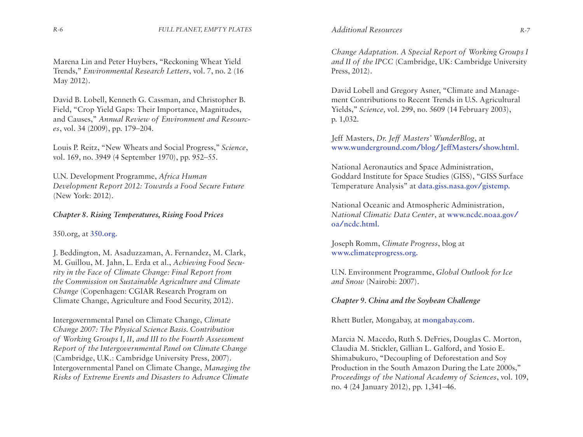Marena Lin and Peter Huybers, "Reckoning Wheat Yield Trends," *Environmental Research Letters*, vol. 7, no. 2 (16 May 2012).

David B. Lobell, Kenneth G. Cassman, and Christopher B. Field, "Crop Yield Gaps: Their Importance, Magnitudes, and Causes," *Annual Review of Environment and Resources*, vol. 34 (2009), pp. 179–204.

Louis P. Reitz, "New Wheats and Social Progress," *Science*, vol. 169, no. 3949 (4 September 1970), pp. 952–55.

U.N. Development Programme, *Africa Human Development Report 2012: Towards a Food Secure Future* (New York: 2012).

# *Chapter 8. Rising Temperatures, Rising Food Prices*

350.org, at **[350.org.](http://350.org)** 

J. Beddington, M. Asaduzzaman, A. Fernandez, M. Clark, M. Guillou, M. Jahn, L. Erda et al., *Achieving Food Security in the Face of Climate Change: Final Report from the Commission on Sustainable Agriculture and Climate Change* (Copenhagen: CGIAR Research Program on Climate Change, Agriculture and Food Security, 2012).

Intergovernmental Panel on Climate Change, *Climate Change 2007: The Physical Science Basis. Contribution of Working Groups I, II, and III to the Fourth Assessment Report of the Intergovernmental Panel on Climate Change* (Cambridge, U.K.: Cambridge University Press, 2007). Intergovernmental Panel on Climate Change, *Managing the Risks of Extreme Events and Disasters to Advance Climate* 

*Change Adaptation. A Special Report of Working Groups I and II of the IPCC* (Cambridge, UK: Cambridge University Press, 2012).

David Lobell and Gregory Asner, "Climate and Management Contributions to Recent Trends in U.S. Agricultural Yields," *Science,* vol. 299, no. 5609 (14 February 2003), p. 1,032.

Jeff Masters, *Dr. Jeff Masters' WunderBlog*, at **www.wunderground.com/blog/JeffMasters/show.html.**

National Aeronautics and Space Administration, Goddard Institute for Space Studies (GISS), "GISS Surface Temperature Analysis" at **[data.giss.nasa.gov/gistemp.](data.giss.nasa.gov/gistemp)**

National Oceanic and Atmospheric Administration, *National Climatic Data Center*, at **www.ncdc.noaa.gov/ oa/ncdc.html.**

Joseph Romm, *Climate Progress*, blog at **www.climateprogress.org.**

U.N. Environment Programme, *Global Outlook for Ice and Snow* (Nairobi: 2007).

# *Chapter 9. China and the Soybean Challenge*

Rhett Butler, Mongabay, at **[mongabay.com](mongabay.com.)**.

Marcia N. Macedo, Ruth S. DeFries, Douglas C. Morton, Claudia M. Stickler, Gillian L. Galford, and Yosio E. Shimabukuro, "Decoupling of Deforestation and Soy Production in the South Amazon During the Late 2000s," *Proceedings of the National Academy of Sciences*, vol. 109, no. 4 (24 January 2012), pp. 1,341–46.